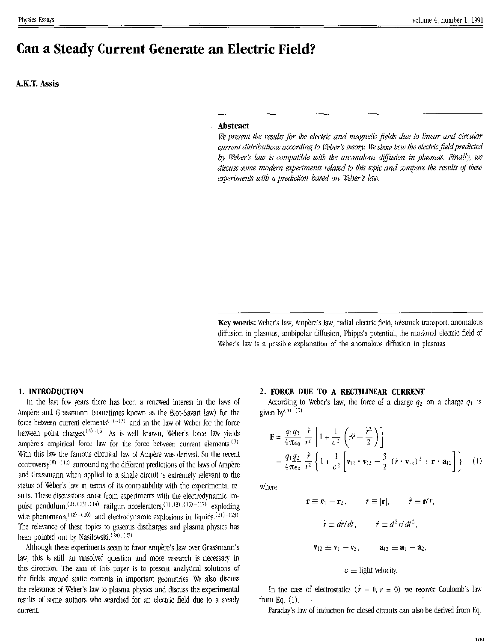# Can a Steady Current Generate an Electric Field?

**A.K.T. Assis** 

### **Abstract**

We present the results for the electric and magnetic fields due to linear and circular current distributions according to Weber's theory. We show how the electric field predicted by Weber's law is compatible with the anomalous diffusion in plasmas. Finally, we discuss some modern experiments related to this topic and compare the results of these experiments with a prediction based on Weber's law.

Key words: Weber's law, Ampère's law, radial electric field, tokamak transport, anomalous diffusion in plasmas, ambipolar diffusion, Phipps's potential, the motional electric field of Weber's law is a possible explanation of the anomalous diffusion in plasmas

#### 1. INTRODUCTION

In the last few years there has been a renewed interest in the laws of Ampère and Grassmann (sometimes known as the Biot-Savart law) for the force between current elements<sup>(1)-(3)</sup> and in the law of Weber for the force between point charges.<sup>(4)</sup> (6) As is well known, Weber's force law yields Ampère's empirical force law for the force between current elements.<sup>(7)</sup> With this law the famous circuital law of Ampère was derived. So the recent controversy<sup>(8)</sup>  $(12)$  surrounding the different predictions of the laws of Ampère and Grassmann when applied to a single circuit is extremely relevant to the status of Weber's law in terms of its compatibility with the experimental results. These discussions arose from experiments with the electrodynamic impulse pendulum,  $^{(2),(13),(14)}$  railgun accelerators,  $^{(1),(3),(15)-(17)}$  exploding wire phenomena,<sup>(18)-(20)</sup> and electrodynamic explosions in liquids.<sup>(21)-(23)</sup> The relevance of these topics to gaseous discharges and plasma physics has been pointed out by Nasilowski.<sup>(24),(25)</sup>

Although these experiments seem to favor Ampère's law over Grassmann's law, this is still an unsolved question and more research is necessary in this direction. The aim of this paper is to present analytical solutions of the fields around static currents in important geometries. We also discuss the relevance of Weber's law to plasma physics and discuss the experimental results of some authors who searched for an electric field due to a steady current.

## 2. FORCE DUE TO A RECTILINEAR CURRENT

According to Weber's law, the force of a charge  $q_2$  on a charge  $q_1$  is given by  $(7)$ 

$$
\mathbf{F} = \frac{q_1 q_2}{4 \pi \epsilon_0} \frac{\hat{r}}{r^2} \left[ 1 + \frac{1}{c^2} \left( r \hat{r} - \frac{\hat{r}^2}{2} \right) \right]
$$
  
=  $\frac{q_1 q_2}{4 \pi \epsilon_0} \frac{\hat{r}}{r^2} \left\{ 1 + \frac{1}{c^2} \left[ \mathbf{v}_{12} \cdot \mathbf{v}_{12} - \frac{3}{2} \left( \hat{r} \cdot \mathbf{v}_{12} \right)^2 + \mathbf{r} \cdot \mathbf{a}_{12} \right] \right\}$  (1)

where

$$
\mathbf{r} \equiv \mathbf{r}_1 - \mathbf{r}_2, \qquad r \equiv |\mathbf{r}|, \qquad \hat{r} \equiv \mathbf{r}/r
$$

$$
\dot{r} \equiv dr/dt, \qquad \ddot{r} \equiv d^2r/dt^2,
$$

$$
\mathbf{v}_{12} \equiv \mathbf{v}_1 - \mathbf{v}_2, \qquad \mathbf{a}_{12} \equiv \mathbf{a}_1 - \mathbf{a}_2,
$$

$$
c \equiv \text{light velocity.}
$$

In the case of electrostatics  $(r = 0, \ddot{r} = 0)$  we recover Coulomb's law from Eq.  $(1)$ .

Paraday's law of induction for closed circuits can also be derived from Eq.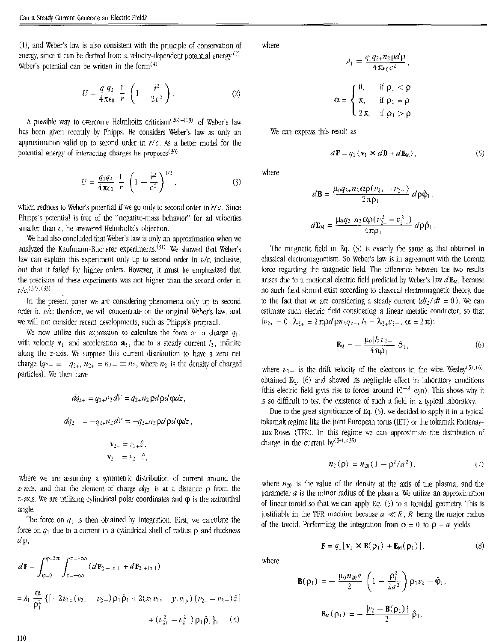(1), and Weber's law is also consistent with the principle of conservation of energy, since it can be derived from a velocity-dependent potential energy.<sup>(7)</sup> Weber's potential can be written in the form $(4)$ 

$$
U = \frac{q_1 q_2}{4 \pi \epsilon_0} \frac{1}{r} \left( 1 - \frac{\dot{r}^2}{2c^2} \right). \tag{2}
$$

A possible way to overcome Helmholtz criticism<sup>(26)-(29)</sup> of Weber's law has been given recently by Phipps. He considers Weber's law as only an approximation valid up to second order in  $\dot{r}/c$ . As a better model for the potential energy of interacting charges he proposes<sup>(30)</sup>

$$
U = \frac{q_1 q_2}{4 \pi \epsilon_0} \frac{1}{r} \left( 1 - \frac{\dot{r}^2}{c^2} \right)^{1/2},
$$
 (3)

which reduces to Weber's potential if we go only to second order in  $r/c$ . Since Phipps's potential is free of the "negative-mass behavior" for all velocities smaller than  $c$ , he answered Helmholtz's objection.

We had also concluded that Weber's law is only an approximation when we analyzed the Kaufmann-Bucherer experiments.<sup>(31)</sup> We showed that Weber's law can explain this experiment only up to second order in  $v/c$ , inclusive, but that it failed for higher orders. However, it must be emphasized that the precision of these experiments was not higher than the second order in  $v/c$ , (32), (33)

In the present paper we are considering phenomena only up to second order in  $v/c$ ; therefore, we will concentrate on the original Weber's law, and we will not consider recent developments, such as Phipps's proposal.

We now utilize this expression to calculate the force on a charge  $q_1$ , with velocity  $\mathbf{v}_1$  and acceleration  $\mathbf{a}_1$ , due to a steady current  $I_2$ , infinite along the  $z$ -azis. We suppose this current distribution to have a zero net charge  $(q_{2-} = -q_{2+}, n_{2+} = n_2 = n_2$ , where  $n_2$  is the density of charged particles). We then have

$$
dq_{2+} = q_2 \cdot n_2 dV = q_2 \cdot n_2 \rho d\rho d\phi dz,
$$
  
\n
$$
dq_2 = -q_2 \cdot n_2 dV = -q_2 \cdot n_2 \rho d\rho d\phi dz,
$$
  
\n
$$
\mathbf{v}_{2+} = v_2 \cdot \hat{z},
$$
  
\n
$$
\mathbf{v}_2 = v_2 \cdot \hat{z},
$$

where we are assuming a symmetric distribution of current around the z-axis, and that the element of charge  $dq_2$  is at a distance  $\rho$  from the  $z$ -axis. We are utilizing cylindrical polar coordinates and  $\varphi$  is the azimuthal angle.

The force on  $q_1$  is then obtained by integration. First, we calculate the force on  $q_1$  due to a current in a cylindrical shell of radius  $\rho$  and thickness  $d\rho$ ,

$$
d\mathbf{F} = \int_{\phi=0}^{\phi=2\pi} \int_{z=-\infty}^{z=\infty} (d\mathbf{F}_{2-\text{in}1} + d\mathbf{F}_{2+\text{in}1})
$$
  
=  $A_1 \frac{\alpha}{\rho_1^2} \{ [-2v_{1z}(v_{2+} - v_{2-}) \rho_1 \hat{\rho}_1 + 2(x_1 v_{1x} + y_i v_{1y}) (v_{2+} - v_{2-}) \hat{z} ]$   
+  $(v_{2+}^2 - v_{2-}^2) \rho_1 \hat{\rho}_1 \},$  (4)

where

$$
A_1 \equiv \frac{q_1 q_2 + n_2 \mathbf{p} a \mathbf{p}}{4 \pi \epsilon_0 c^2},
$$

$$
= \begin{cases} 0, & \text{if } \mathbf{p}_1 < \mathbf{p} \\ \pi, & \text{if } \mathbf{p}_1 = \mathbf{p} \\ 2\pi, & \text{if } \mathbf{p}_1 > \mathbf{p} \end{cases}
$$

 $\mathbf{u}$  and  $\mathbf{v}$ 

We can express this result as

 $\alpha$ 

$$
d\mathbf{F} = q_1 \left( \mathbf{v}_1 \times d\mathbf{B} + d\mathbf{E}_M \right),\tag{5}
$$

where

$$
d\mathbf{B} = \frac{\mu_0 q_2 n_2 \alpha \rho (v_{2+} - v_{2-})}{2 \pi \rho_1} d\rho \hat{\varphi}_1,
$$
  

$$
d\mathbf{E}_M = \frac{\mu_0 q_2 n_2 \alpha \rho (v_{2+}^2 - v_{2-}^2)}{4 \pi \rho_1} d\rho \hat{\rho}_1.
$$

The magnetic field in Eq.  $(5)$  is exactly the same as that obtained in classical electromagnetism. So Weber's law is in agreement with the Lorentz force regarding the magnetic field. The difference between the two results arises due to a motional electric field predicted by Weber's law  $d\mathbf{E}_{\text{M}}$ , because no such field should exist according to classical electromagnetic theory, due to the fact that we are considering a steady current  $(dI_2/dt = 0)$ . We can estimate such electric field considering a linear metalic conductor, so that  $(v_{2_1} = 0, \lambda_{2_1} = 2 \pi \rho d \rho n_2 q_{2_1}, l_2 = \lambda_{2_1} v_{2_1}, \alpha = 2 \pi)$ :

$$
\mathbf{E}_{\mathbf{M}} = -\frac{\mu_0 |I_2 v_2|}{4 \pi \rho_1} \hat{\rho}_1, \tag{6}
$$

where  $v_2$  is the drift velocity of the electrons in the wire. Wesley<sup>(5)</sup>, <sup>(6)</sup> obtained Eq. (6) and showed its negligible effect in laboratory conditions (this electric field gives rise to forces around  $10^{-8}$  dyn). This shows why it is so difficult to test the existence of such a field in a typical laboratory.

Due to the great significance of Eq. (5), we decided to apply it in a typical tokamak regime like the joint European torus (JET) or the tokamak Fontenayaux-Roses (TFR). In this regime we can approximate the distribution of charge in the current by<sup>(34),(35)</sup>

$$
n_2(\rho) = n_{20}(1-\rho^2/a^2), \qquad (7)
$$

where  $n_{20}$  is the value of the density at the axis of the plasma, and the parameter  $a$  is the minor radius of the plasma. We utilize an approximation of linear toroid so that we can apply Eq.  $(5)$  to a toroidal geometry. This is justifiable in the TFR machine because  $a \ll R$ , R being the major radius of the toroid. Performing the integration from  $\rho = 0$  to  $\rho = a$  vields

$$
\mathbf{F} = q_1 \left[ \mathbf{v}_1 \times \mathbf{B}(\mathbf{\rho}_1) + \mathbf{E}_{\mathsf{M}}(\mathbf{\rho}_1) \right],\tag{8}
$$

where

$$
\mathbf{B}(\rho_1) = -\frac{\mu_0 n_{20} e}{2} \left( 1 - \frac{\rho_1^2}{2a^2} \right) \rho_1 v_2 - \hat{\varphi}_1,
$$
  

$$
\mathbf{E}_M(\rho_1) = -\frac{|v_2 - \mathbf{B}(\rho_1)|}{2} \hat{\rho}_1,
$$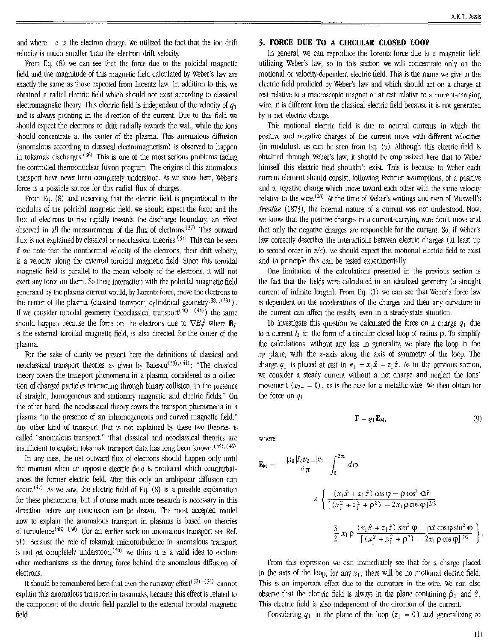and where  $-e$  is the electron charge. We utilized the fact that the ion drift velocity is much smaller than the electron drift velocity.

From Eq. (8) we can see that the force due to the poloidal magnetic field and the magnitude of this magnetic field calculated by Weber's law are exactly the same as those expected from Lorentz law. In addition to this, we obtained a radial electric field which should not exist according to classical electromagnetic theory. This electric field is independent of the velocity of  $q_1$ and is always pointing in the direction of the current. Due to this field we should expect the electrons to drift radially towards the wall, while the ions should concentrate at the center of the plasma. This anomalous diffusion (anomalous according to classical electromagnetism) is observed to happen in tokamak discharges.<sup>(36)</sup> This is one of the most serious problems facing the controlled thermonuclear fusion program. The origins of this anomalous transport have never been completely understood. As we show here, Weber's force is a possible source for this radial flux of charges.

From Eq. (8) and obscrving that the electric field is proportional to the modulus of the poloidal magnetic field, we should expect the force and the flux of electrons to risc rapidly towards the discharge boundary, an effect observed in all the measurements of the flux of electrons.<sup>(37)</sup> This outward flux is not explained by classical or neoclassical theories.<sup> $(37)$ </sup> This can be seen if we note that the nonthermal velocity of the electrons, their drift velocity, is a velocity along the external toroidal magnetic field. Since this toroidal magnetic field is parallel to the mean velocity of the electrons. it will not exert any force on them. So their interaction with the poloidal magnetic field generated by the plasma current would, by Lorentz force, move the electrons to the center of the plasma (classical transport, cylindrical geometry  $(381, (39))$ ). If we consider toroidal geometry (neoclassical transport<sup>(40)-(44)</sup>) the same should happen because the force on the electrons due to  $\nabla B_x^2$  where  $\mathbf{B}_x$ is the external toroidal magnetic field, is also directed for the center of the plasma.

For the sake of clarity we present here the definitions of classical and neoclassical transport theories as given by Balescu<sup>(39), (44)</sup>: "The classical theory covers the transport phenomena in a plasma, considered as a collection of charged particles interacting through binary collision, in the presence of straight, homogeneous and stationary magnetic and electric fields." On the other hand, the neoclassical theory covers the transport phenomena in a plasma "in the presence of an inhomogeneous and curved magnetic field." Any other kind of transport that is not explained by these two theories is called "anomalous transport" That classical and neoclassical theories are insufficient to explain tokamak transport data has long been known.  $(45)$ ,  $(46)$ 

In any case, the net outward flux of electrons should happen only until the moment when an opposite electric field is produced which counterbalances the former electric field. After this only an ambipolar diffusion can occur.<sup> $(47)$ </sup> As we saw, the electric field of Eq. (8) is a possible explanation for these phenomena, but of course much more research is necessary in this direction before any conclusion can be drawn. The most accepted model nov,' to explain the anomalous transport in plasmas is based on theories of turbulence<sup> $(48)$  (50)</sup> (for an earlier work on anomalous transport see Ref. 51). Because the role of tokamak microturbulence in anomalous transport is not yet completely understood.<sup> $(50)$ </sup> we think it is a valid idea to explore other mechanisms as the driving force behind the anomalous diffusion of electrons.

It should be remembered here that even the runaway effect<sup>(52)-(54)</sup> cannot explain this anomalous transport in tokamaks, because this effect is related to the component of the electric field parallel to the extemal toroidal magnetic field.

## 3. **FORCE DUE TO A CIRCULAR CLOSED LOOP**

In general, we can reproduce the Lorentz force due to a magnetic field utilizing Weber's law, so in this section we will concentrate only on the motional or velocity-depcndent electric field. This is the name we give to the electric field predicted by Weber's law and which should act on a charge at rest relative to a macroscopic magnet or at rcst relative to a current-carrying wire. It is different from the classical electric field because it is not generated by a net electric charge.

This motional electric field is due to neutral currents in which the positive and negative charges of the current move with different velocities (in modulus), as can be seen from Eq.  $(5)$ . Although this electric field is obtained through Weber's law, it should be emphasized here that to Weber himself this electric field shouldn't exist. This is because to Weber each current element should consist following Fechner assumptions, of a positive and a negative charge which move toward each other with the same velocity relative to the wire. $^{(28)}$  At the time of Weber's writings and even of Maxwell's *lreatise* (1873), the internal nature of a current was not understood. Now, we know that the positive charges in a current-carrying wire don't move and that only the negative charges are responsible for the current. So, if Weber's law correctly describes the interactions between electric charges (at least up to second order in  $v/c$ ), we should expect this motional electric field to exist and in principle this can be tested experimentally.

One limitation of the calculations presented in the previous section is the fact that the fields were calculated in an idealized geometry (a straight current of infinite length). From Eq. (I) we can sec that Weber's force law is dependent on the accelerations of the charges and then any curvature in the current can affect the results, even in a steady-state situation.

16 investigate this question we calculated the force on a charge  $q_1$  due to a current  $I_2$  in the form of a circular closed loop of radius  $p$ . To simplify the calculations, without any loss in generality, we place the loop in the xy plane, with the z-axis along the axis of symmetry of the loop. The charge  $q_1$  is placed at rest in  $\mathbf{r}_1 = x_1\hat{x} + x_1\hat{z}$ . As in the previous section, we consider a steady current without a net charge and neglect the ions' movement  $(v_{2+} = 0)$ , as is the case for a metallic wire. We then obtain for the force on  $q_1$ 

$$
\mathbf{F} = q_1 \mathbf{E}_M,\tag{9}
$$

where

$$
\mathbf{E}_{\mathsf{M}} = -\frac{\mu_0 |I_2 v_2 - \mu_1}{4\pi} \int_0^{2\pi} d\varphi
$$
  
\$\times \left\{ \frac{(x\_1 \hat{x} + z\_1 \hat{z}) \cos \varphi - \rho \cos^2 \varphi \hat{x}}{[(x\_1^2 + z\_1^2 + \rho^2) - 2x\_1 \rho \cos \varphi]^{\frac{3}{2}} - \frac{3}{2} x\_1 \rho \frac{(x\_1 \hat{x} + z\_1 \hat{z}) \sin^2 \varphi - \rho \hat{x} \cos \varphi \sin^2 \varphi}{[(x\_1^2 + z\_1^2 + \rho^2) - 2x\_1 \rho \cos \varphi]^{\frac{5}{2}} \right\}}\$

From this expression we can immediately see that for a charge placed in the axis of the loop, for any  $z_1$ , there will be no motional electric field. This is an important effect due to the curvature in the wire. We can also observe that the electric field is always in the plane containing  $\hat{p}_1$  and  $\hat{z}$ . This electric field is also independent of the direction of the current.

Considering  $q_1$  in the plane of the loop  $(z_1 = 0)$  and generalizing to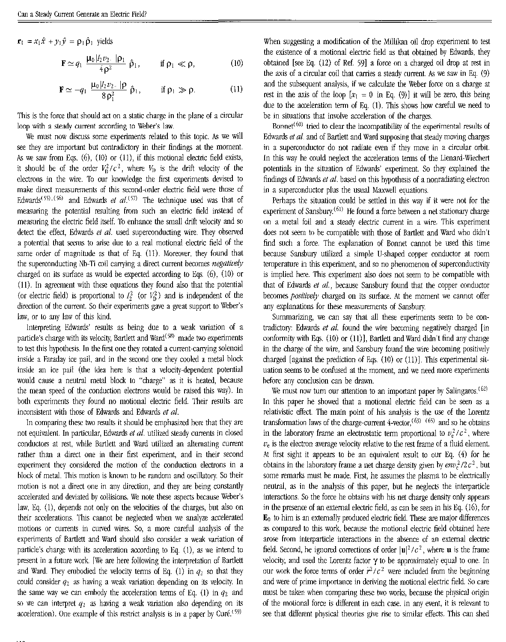$\mathbf{r}_1 = x_1 \hat{x} + y_1 \hat{y} = \rho_1 \hat{\rho}_1$  yields

$$
\mathbf{F} \simeq q_1 \; \frac{\mu_0 |I_2 v_2| \; |\mathbf{\rho}_1}{4 \, \rho^2} \; \hat{\mathbf{\rho}}_1, \qquad \text{if } \mathbf{\rho}_1 \ll \mathbf{\rho}, \tag{10}
$$

$$
\mathbf{F} \simeq -q_1 \ \frac{\mu_0 |I_2 v_2|}{8 \rho_1^2} \ \hat{\rho}_1, \qquad \text{if } \rho_1 \gg \rho. \tag{11}
$$

This is the force that should act on a static charge in the plane of a circular loop with a steady current according to Weber's law.

We must now discuss some experiments related to this topic. As we will see they are important but contradictory in their findings at the moment. As we saw from Eqs. (6). (10) or (11), if this motional electric field exists, it should be of the order  $V_0^2/c^2$ , where  $V_0$  is the drift velocity of the electrons in the wire. To our knowledge the first experiments devised to make direct measurements of this second-order electric field were those of Edwards<sup>(55)</sup>, <sup>(56)</sup> and Edwards *et al.* <sup>(57)</sup> The technique used was that of measuring the potential resulting from such an electric field instead of measuring the electric field itself. 'Ib enhance the small drift velocity and so detect the effect, Edwards *et al.* used superconducting wire, They observed a potential that seems to arise due to a real motional electric field of the same order of magnitude as that of Eq. (11). Moreover. they found that the superconducting \/h-Ti coil carrying a direct current hecomes *negalive(v*  charged on its surface as would be expected according to Eqs, (6). (10) or (11). In agreement with these equations they found also that the potential (or electric field) is proportional to  $I_2^2$  (or  $V_{\text{D}}^2$ ) and is independent of the direction of the current. So their experiments gave a great support to Weber's law, or to any law of this kind.

Interpreting Edwards' results as being due to a weak variation of a particle's charge with its velocity, Bartlett and Ward<sup>(58)</sup> made two experiments to test this hypothesis. In the first one they rotated a current-carrying solenoid inside a Faraday ice pail. and in the second one they cooled a metal block inside an ice pail (the idea here is that a velocity-dependent potential would cause a neutral metal block to "charge" as it is heated, because the mean speed of the conduction electrons would be raised this way). In both experiments they found no motional electric field. Their results are inconsistent with those of Edwards and Edwards et al.

In comparing these two results it should be emphasized here that they are not equivalent. In particular, Edwards et al. utilized steady currents in closed conductors at rest, while Bartlett and ward utilized an alternating current rather than a direct one in their first experiment, and in their second experiment they considered the motion of the conduction electrons in a block of metal. This motion is known to be random and oscillatory. So their motion is not a direct one in any direction, and they are being constantly accelerated and deviated by collisions. We note these aspects because 'Weber's law, Eq.  $(1)$ , depends not only on the velocities of the charges, but also on their accelerations. This cannot be neglected when we analyze accelerated motions or currents in curved wires. So, a more careful analysis of the experiments of Bartlett and Ward should also consider a weak variation of particle's charge with its acceleration according to Eq. 0), as we intend to present in a future work. [We are here following the interpretation of Bartlett and Ward. They embodied the velocity terms of Eq. (1) in  $q_2$  so that they could consider  $q_2$  as having a weak variation depending on its velocity. In the same way we can embody the acceleration terms of Eq. (1) in  $q_2$  and so we can interpret  $q_2$  as having a weak variation also depending on its acceleration). One example of this restrict analysis is in a paper by Curé.<sup>(59)</sup>

When suggesting a modification of the Millikan oil drop experiment to test the existence of a motional electric field as that obtained by Edwards. they obtained [see Eq. (12) of Ref. 591 a force on a charged oil drop at rest in the axis of a circular coil that carries a steady current. As we saw in Eq.  $(9)$ and the subsequent analysis, if we calculate the Weber force on a charge at rest in the axis of the loop  $[x_1 = 0 \text{ in Eq. (9)}]$  it will be zero, this being due to the acceleration term of Eq. (1). This shows how careful we need to be in situations that involve acceleration of the charges.

Bonnet<sup> $(60)$ </sup> tried to clear the incompatibility of the experimental results of Edwards *et at.* and of Bartlett and Ward supposing that steady moving charges in a superconductor do not radiate even if they move in a circular orbit. In this way he could neglect the acceleration terms of the Lienard-Wiechert potentials in the situation of Edwards' experiment. So they explained the findings of Edwards et al. based on this hypothesis of a nonradiating electron in a superconductor plus the usual Maxwell equations.

Perhaps the situation could be settled in this way if it were not for the experiment of Sansbury.<sup>(61)</sup> He found a force between a net stationary charge on a metal foil and a steady electric current in a wire. This experiment does not seem to be compatible with those of Bartlett and Ward who didn't find such a force, The explanation of Bonnet cannot be used this time because Sansbury utilized a simple U-shaped copper conductor at room temperature in this experiment, and so no phenomenon of superconductivity is implied here. This experiment also does not seem to be compatible with that of Edwards *et* al., because Sansbury found that the copper conductor becomes *positively* charged on its surface. At the moment we cannot offer any explanations for these measurements of Sansbury.

Summarizing, we can say that all these experiments seem to be contradictory: Edwards *et al.* found the wire becoming negatively charged [in conformity with Eqs.  $(10)$  or  $(11)$ ], Bartlett and Ward didn't find any change in the charge of the wire, and Sansbury found the wire becoming positively charged [against the prediction of Eqs.  $(10)$  or  $(11)$ ]. This experimental situation seems to be confused at the moment, and we need more experiments hefore any conclusion can be drawn.

We must now turn our attention to an important paper by Salingaros.<sup>(62)</sup> In this paper he showed that a motional electric field can be seen as a relativistic effect. The main point of his analysis is the use of the Lorentz transformation laws of the charge-current 4-vector.<sup>(63)</sup> <sup>(65)</sup> and so he obtains in the laboratory frame an electrostatic term proportional to  $v_e^2/c^2$ , where  $v_e$  is the electron average velocity relative to the rest frame of a fluid element. At first sight it appears to be an equivalent result to our Eq. (4) for he obtains in the laboratory frame a net charge density given by  $\frac{env_e^2}{2 c^2}$ , but some remarks must be made. First, he assumes the plasma to be electrically neutral, as in the analysis of this paper, but he neglects the interparticle interactions, So the force he obtains with his net charge density only appears in the presence of an external electric field. as can be seen in his Eq. (16), for Eo to him is an externally produced electric field. These are major differences as compared to this work, because the motional electric field obtained here arose from interparticle interactions in the absence of an external electric field. Second, he ignored corrections of order  $|\mathbf{u}|^2/c^2$ , where **u** is the frame velocity, and used the Lorentz factor  $\gamma$  to be approximately equal to one. In our work the force terms of order  $r^2/c^2$  were included from the beginning and were of prime importance in deriving the motional electric field. So care must be taken when comparing these two works, because the physical origin of the motional force is different in each case. In any event, it is relevant to see that different physical theories give rise to similar effects. This can shed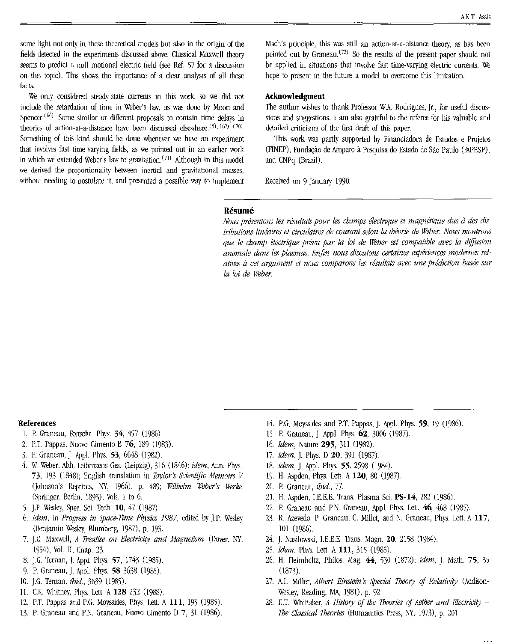some light not only in these theoretical models but also in the origin of the fields detected in the experiments discussed above. Classical Maxwell theory seems to predict a null motional electric field (see Ref. 57 for a discussion on this topic). This shows the importance of a clear analysis of all these facts.

We only considered steady-state currents in this work, so we did not include the retardation of time in Weber"s law, as was done by Moon and Spencer,<sup> $(66)$ </sup> Some similar or different proposals to contain time delays in theories of action-at-a-distance have been discussed elsewhere.  $(5)$ ,  $(67)$ - $(70)$ Something of this kind should be done whenever we have an experiment that involves fast time-varying fields, as we pointed out in an earlier work in which we extended Weber's law to gravitation.<sup> $(71)$ </sup> Although in this model we derived the proportionality between inertial and gravitational masses, without needing to postulate it. and presented a possible way to implement

Mach's principle, this was still an action-at-a-distance theory, as has been pointed out by Graneau.<sup>(72)</sup> So the results of the present paper should not be applied in situations that involve fast time-varying electric currents. We hope to present in the future a model to overcome this limitation.

# Acknowledgment

The author wishes to thank Professor W.A. Rodrigues, Jr., for useful discussions and suggestions. I am also grateful to the referee for his valuable and detailed criticisms of the first draft of this paper,

This work was partly supported by Financiadora de Estudos e Projetos (FINEP), Fundação de Amparo à Pesquisa do Estado de São Paulo (FAPESP), and CNPq (Brazil).

Received on 9 January 1990.

#### Résumé

Nous présentons les résultats pour les champs électrique et magnétique dus à des dis*tributions linéaires et circulaires de courant selon la théorie de Weber. Nous montrons que le champ électrique prévu par la loi de Weber est compatible avec la diffusion* anomale dans les plasmas. Enfin nous discutons certaines expériences modernes relatives à cet argument et nous comparons les résultats avec une prédiction basée sur la *loi de Weber.* 

#### References

- 1. P. Graneau, Fortschr. Phys. 34, 457 (1986).
- 2, P.T Pappas. Nuovo Cimenlo B 76, 189 (1983).
- 3, P. Graneau. J. AppJ. Phys. 53, 6648 (J9R2).
- 4. W. Weber, Abh, Leibnizens Ges. (Leipzig), 316 (1846): *idem*, Ann. Phys. 73, 193 (1848); English translation in *Taylor's Scientific Memoirs* V Oolmson·s Reprints, 1\1:', 1966), p. 489: *Wilhelm Weber's \.Yerke*  (Springer. Berlin, 1893), Vols. 1 to 6.
- 5. ].P. \\esley, Spec. Sci. Tech. 10, 47 (1987).
- *6. Idem,* in *Progress in Space-Time Pbysics* 1987, edited by J.P. Wesley (Benjamin Wesley, Blumberg, 1987), p. 193.
- 7. ].c. Maxwell. *A Treatise on Electricity and Magnetism* (Dover. NY, 1954), \bJ. ll, Chap, 23.
- 8. J.G. Ternan, J. Appl. Phys. 57, 1743 (1985).
- 9. P. Graneau, J. Appl. Phys. 58 3638 (1985).
- 10. J.G. Ternan, *ibid.*, 3639 (1985).
- 11. C.K. Whitney, Phys. Lett. A 128 232 (1988).
- 12. P.T. Pappas and P.G. Moyssides, Phys. Lett. A 111, 193 (1985).
- 13. P. Graneau and P.N. Graneau, Nuovo Cimento D 7, 31 (1986).
- 14. P.G. Moyssides and P.T. Pappas, J. Appl. Phys. 59, 19 (1986).
- 15. P. Graneau, J. Appl. Phys. 62, 3006 (1987).
- *16. Idem,* Kature 295, 311 (982),
- *17. Idem,* J. Phys. 0 20, 391 (1987).
- 18. *Idem,].* AppJ. Phys. 55. 2598 (1984).
- 19, H. Aspden, Phys. Lett, A 120, 80 (1987).
- 20, P. Graneau, *ibid., 77.*
- 21. H. Aspden, I.E.E.E. Trans. Plasma Sci. PS-14, 282 (1986).
- 22. P. Graneau and P.N. Graneau, Appl. Phys. Lett.  $46$ ,  $468$  (1985),
- 23. R. Azevedo, P. Graneau, C. Millet, and N. Graneau, Phys. Lett. A 117, 101 (986).
- 24. J. Nasilowski, I.E.E.E, Trans. Magn. 20, 2158 (1984).
- *25. khm,* Phys. Lett. A 111, 315 (1985).
- 26, H. Helmholtz, Philos. Mag. 44, 530 (1872); idem, J. Math. 75, 35 (1873)
- 27. A.I. Miller, *Albert Einstein's Special Theory of Relativity* (Addison-Wesley, Reading, MA, 1981), p. 92,
- 28. E.T. Whittaker, *A History of the Theories of Aether and Electricity* -The Classical Theories (Humanities Press, NY, 1973), p. 201.